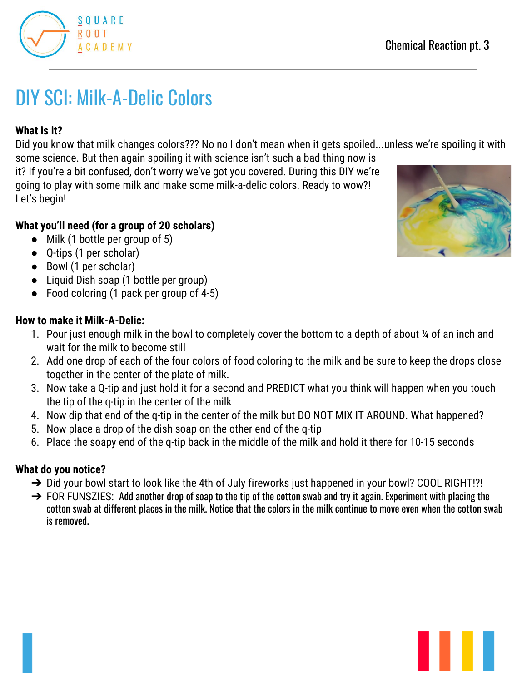# DIY SCI: Milk-A-Delic Colors

# **What is it?**

Did you know that milk changes colors??? No no I don't mean when it gets spoiled...unless we're spoiling it with

some science. But then again spoiling it with science isn't such a bad thing now is it? If you're a bit confused, don't worry we've got you covered. During this DIY we're going to play with some milk and make some milk-a-delic colors. Ready to wow?! Let's begin!

# **What you'll need (for a group of 20 scholars)**

- Milk (1 bottle per group of 5)
- Q-tips (1 per scholar)
- Bowl (1 per scholar)
- Liquid Dish soap (1 bottle per group)
- Food coloring (1 pack per group of 4-5)

### **How to make it Milk-A-Delic:**

- 1. Pour just enough milk in the bowl to completely cover the bottom to a depth of about ¼ of an inch and wait for the milk to become still
- 2. Add one drop of each of the four colors of food coloring to the milk and be sure to keep the drops close together in the center of the plate of milk.
- 3. Now take a Q-tip and just hold it for a second and PREDICT what you think will happen when you touch the tip of the q-tip in the center of the milk
- 4. Now dip that end of the q-tip in the center of the milk but DO NOT MIX IT AROUND. What happened?
- 5. Now place a drop of the dish soap on the other end of the q-tip
- 6. Place the soapy end of the q-tip back in the middle of the milk and hold it there for 10-15 seconds

# **What do you notice?**

- → Did your bowl start to look like the 4th of July fireworks just happened in your bowl? COOL RIGHT!?!
- $\rightarrow$  FOR FUNSZIES: Add another drop of soap to the tip of the cotton swab and try it again. Experiment with placing the cotton swab at different places in the milk. Notice that the colors in the milk continue to move even when the cotton swab is removed.